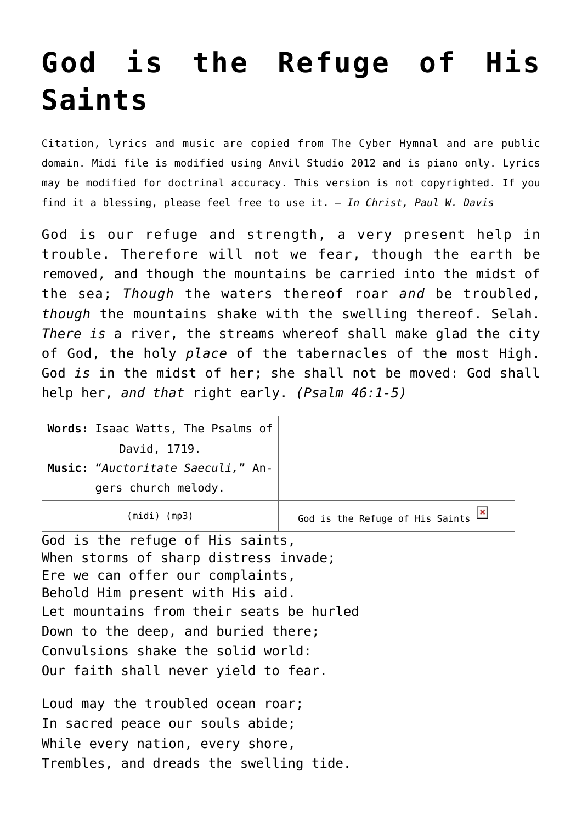## **[God is the Refuge of His](http://reproachofmen.org/hymns-and-music/god-is-the-refuge-of-his-saints/) [Saints](http://reproachofmen.org/hymns-and-music/god-is-the-refuge-of-his-saints/)**

Citation, lyrics and music are copied from [The Cyber Hymnal](http://www.hymntime.com/tch/index.htm) and are public domain. Midi file is modified using Anvil Studio 2012 and is piano only. Lyrics may be modified for doctrinal accuracy. This version is not copyrighted. If you find it a blessing, please feel free to use it. — *In Christ, Paul W. Davis*

God is our refuge and strength, a very present help in trouble. Therefore will not we fear, though the earth be removed, and though the mountains be carried into the midst of the sea; *Though* the waters thereof roar *and* be troubled, *though* the mountains shake with the swelling thereof. Selah. *There is* a river, the streams whereof shall make glad the city of God, the holy *place* of the tabernacles of the most High. God *is* in the midst of her; she shall not be moved: God shall help her, *and that* right early. *(Psalm 46:1-5)*

| Words: Isaac Watts, The Psalms of |                                 |
|-----------------------------------|---------------------------------|
| David, 1719.                      |                                 |
| Music: "Auctoritate Saeculi," An- |                                 |
| gers church melody.               |                                 |
| $(midi)$ (mp3)                    | God is the Refuge of His Saints |

God is the refuge of His saints, When storms of sharp distress invade; Ere we can offer our complaints, Behold Him present with His aid. Let mountains from their seats be hurled Down to the deep, and buried there; Convulsions shake the solid world: Our faith shall never yield to fear.

Loud may the troubled ocean roar; In sacred peace our souls abide; While every nation, every shore, Trembles, and dreads the swelling tide.